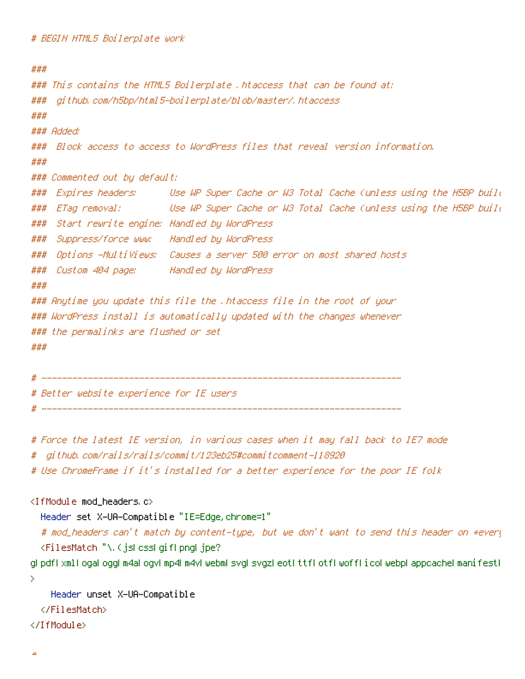```
###
### This contains the HTML5 Boilerplate .htaccess that can be found at:
### github.com/h5bp/html5-boilerplate/blob/master/.htaccess
###
### Added:
### Block access to access to WordPress files that reveal version information.
###
### Commented out by default:
### Expires headers: Use WP Super Cache or W3 Total Cache (unless using the H5BP build
### ETag removal: Use WP Super Cache or W3 Total Cache (unless using the H5BP build
### Start rewrite engine: Handled by WordPress
### Suppress/force www: Handled by WordPress
### Options -MultiViews: Causes a server 500 error on most shared hosts
### Custom 404 page: Handled by WordPress
###
### Anytime you update this file the .htaccess file in the root of your
### WordPress install is automatically updated with the changes whenever
### the permalinks are flushed or set
###
 # ----------------------------------------------------------------------
```
# Better website experience for IE users

# ----------------------------------------------------------------------

# Force the latest IE version, in various cases when it may fall back to IE7 mode

# github.com/rails/rails/commit/123eb25#commitcomment-118920

# Use ChromeFrame if it's installed for <sup>a</sup> better experience for the poor IE folk

```
<IfModule mod_headers.c>
```
Header set X-UA-Compatible "IE=Edge,chrome=1"

# mod\_headers can't match by content-type, but we don't want to send this header on \*every <FilesMatch "\.(js|css|gif|png|jpe?

g|pdf|xml|oga|ogg|m4a|ogv|mp4|m4v|webm|svg|svgz|eot|ttf|otf|woff|ico|webp|appcache|manifest| >

```
Header unset X-UA-Compatible
```
</FilesMatch>

</IfModule>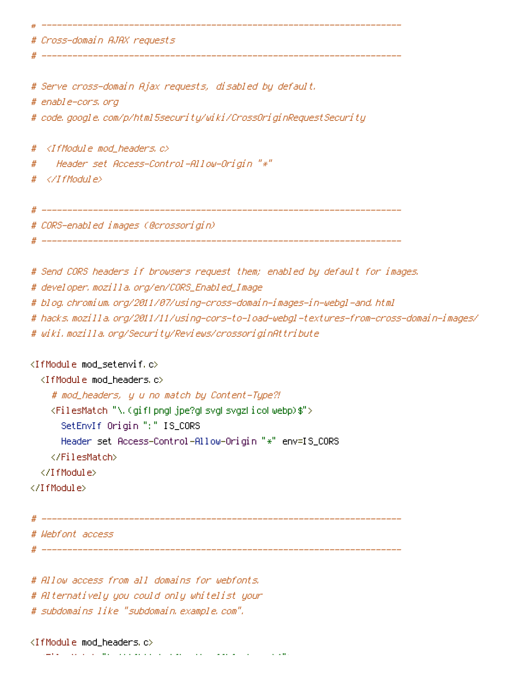| # Cross-domain AJAX requests                                                            |
|-----------------------------------------------------------------------------------------|
|                                                                                         |
|                                                                                         |
| # Serve cross-domain Ajax requests, disabled by default.                                |
| # enable-cors, org                                                                      |
| # code, google, com/p/html5security/wiki/CrossOriginRequestSecurity                     |
|                                                                                         |
| # <ifmodule mod_headers.c=""></ifmodule>                                                |
| Header set Access-Control-Allow-Origin "*"<br>#                                         |
| #                                                                                       |
|                                                                                         |
| # CORS-enabled images (@crossorigin)                                                    |
|                                                                                         |
|                                                                                         |
| # Send CORS headers if browsers request them; enabled by default for images.            |
| # developer, mozilla, org/en/CORS_Enabled_Image                                         |
| # blog, chromium, org/2011/07/using-cross-domain-images-in-webgl-and, html              |
| # hacks.mozilla.org/2011/11/using-cors-to-load-webgl-textures-from-cross-domain-images/ |
| # wiki.mozilla.org/Security/Reviews/crossoriginAttribute                                |
| <ifmodule mod_setenvif.c=""></ifmodule>                                                 |
| <ifmodule mod_headers.c=""></ifmodule>                                                  |

# mod\_headers, y <sup>u</sup> no match by Content-Type?!

<FilesMatch "\.(gif|png|jpe?g|svg|svgz|ico|webp)\$">

SetEnvIf Origin ":" IS\_CORS

Header set Access-Control-Allow-Origin "\*" env=IS\_CORS

</FilesMatch>

</IfModule>

</IfModule>

 $\#$  ----------# Webfont access # ----------------------------------------------------------------------

# Allow access from all domains for webfonts. # Alternatively you could only whitelist your # subdomains like "subdomain.example.com".

<IfModule mod\_headers.c>

 $\mathcal{M}(\mathbf{t}) = \mathcal{M}(\mathbf{t})$  . The system of the set of  $\mathcal{M}(\mathbf{t})$  is equal to the system of the set of  $\mathcal{M}(\mathbf{t})$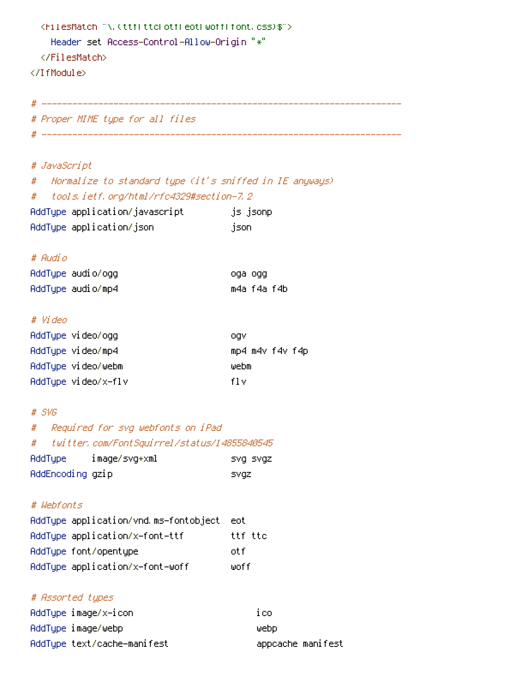| <filesmatch "\,="" \$"="" (ttfl="" css)="" eotl="" font,="" otfl="" ttcl="" woffl=""><br/>Header set Access-Control-Allow-Origin "*"<br/></filesmatch><br> |                 |
|------------------------------------------------------------------------------------------------------------------------------------------------------------|-----------------|
|                                                                                                                                                            |                 |
| # Proper MIME type for all files                                                                                                                           |                 |
|                                                                                                                                                            |                 |
|                                                                                                                                                            |                 |
| # JavaScript                                                                                                                                               |                 |
| # - Normalize to standard type (it's sniffed in IE anyways)                                                                                                |                 |
| # tools.ietf.org/html/rfc4329#section-7.2                                                                                                                  |                 |
| AddType application/javascript ________ js_jsonp                                                                                                           |                 |
| AddTupe application/json                                                                                                                                   | json            |
|                                                                                                                                                            |                 |
| # Audio                                                                                                                                                    |                 |
| AddType audio/ogg                                                                                                                                          | oga ogg         |
| AddType audio/mp4                                                                                                                                          | m4a f4a f4b     |
|                                                                                                                                                            |                 |
| # Video                                                                                                                                                    |                 |
| AddType video/ogg                                                                                                                                          | ogv             |
| AddType video/mp4                                                                                                                                          | mp4 m4v f4v f4p |
| AddType video/webm                                                                                                                                         | webm            |
| AddType video/x-flv                                                                                                                                        | fl v            |
|                                                                                                                                                            |                 |
| # SVG                                                                                                                                                      |                 |
| Required for svg webfonts on iPad<br>#                                                                                                                     |                 |
| twitter, com/FontSquirrel/status/14855840545<br>#                                                                                                          |                 |
| image/svg+xml<br>AddType                                                                                                                                   | SVQ SVQZ        |
| AddEncoding gzip                                                                                                                                           | <b>SVGZ</b>     |
| # Wehfonts                                                                                                                                                 |                 |
| AddType application/vnd.ms-fontobject                                                                                                                      | eot.            |
| AddType application/x-font-ttf                                                                                                                             | ttf ttc         |
| AddType font/opentype                                                                                                                                      | otf             |
| AddType application/x-font-woff                                                                                                                            | woff            |
|                                                                                                                                                            |                 |

# # Assorted types

| AddType image/x-icon        | 1 CO              |
|-----------------------------|-------------------|
| AddType image/webp          | webb              |
| AddType text/cache-manifest | appcache manifest |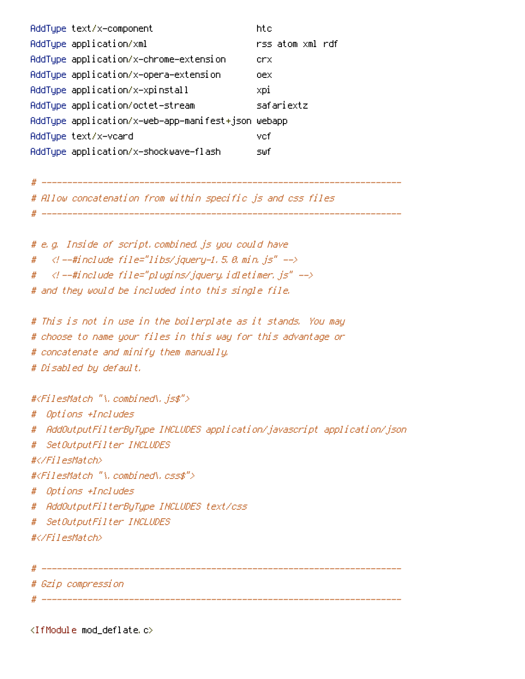| AddTupe text/x-component                           | htc              |  |
|----------------------------------------------------|------------------|--|
| AddTupe application/xml                            | rss atom xml rdf |  |
| AddType application/x-chrome-extension             | crx              |  |
| AddType application/x-opera-extension              | oex              |  |
| AddType application/x-xpinstall                    | xpi              |  |
| AddTupe application/octet-stream                   | safariextz       |  |
| AddType application/x-web-app-manifest+json webapp |                  |  |
| AddTupe text/x-vcard                               | vef              |  |
| AddType application/x-shockwave-flash              | s⊎f              |  |

# Allow concatenation from within specific js and css files

# ----------------------------------------------------------------------

# ----------------------------------------------------------------------

# e.g. Inside of script.combined.js you could have # <!--#include file="libs/jquery-1.5.0.min.js" -->  $# < \langle$  --#include file="plugins/jquery.idletimer.js" --> # and they would be included into this single file.

# This is not in use in the boilerplate as it stands. You may # choose to name your files in this way for this advantage or # concatenate and minify them manually. # Disabled by default.

#<FilesMatch "\.combined\.js\$">

```
# Options +Includes
```
- # AddOutputFilterByType INCLUDES application/javascript application/json
- # SetOutputFilter INCLUDES

```
#</FilesMatch>
```
#<FilesMatch "\.combined\.css\$">

```
# Options +Includes
```
- # AddOutputFilterByType INCLUDES text/css
- # SetOutputFilter INCLUDES
- #</FilesMatch>

# ----------------------------------------------------------------------

# Gzip compression

# ----------------------------------------------------------------------

<IfModule mod\_deflate.c>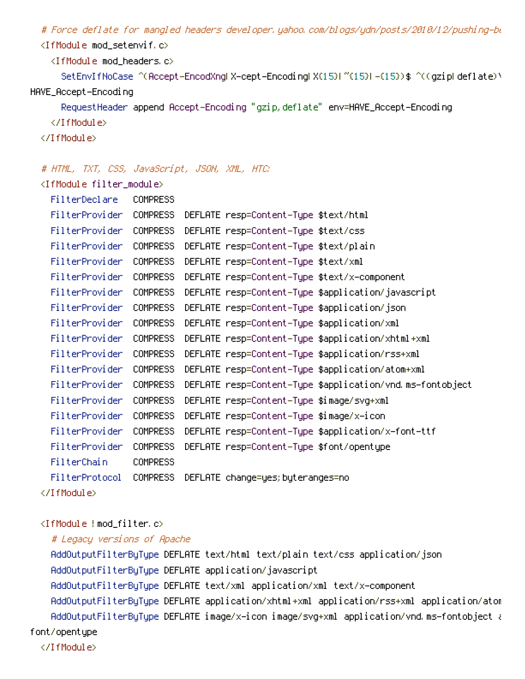# Force deflate for mangled headers developer.yahoo.com/blogs/ydn/posts/2010/12/pushing-be <IfModule mod\_setenvif.c>

<IfModule mod\_headers.c>

SetEnvIfNoCase ^(Accept-EncodXng|X-cept-Encoding|X{15}|~{15}|-{15})\$ ^((gzip|deflate)\ HAVE\_Accept-Encoding

RequestHeader append Accept-Encoding "gzip,deflate" env=HAVE\_Accept-Encoding

</IfModule>

</IfModule>

#### # HTML, TXT, CSS, JavaScript, JSON, XML, HTC:

<IfModule filter\_module>

| FilterProvider | <b>COMPRESS</b> | DEFLATE resp=Content-Type \$text/html                     |
|----------------|-----------------|-----------------------------------------------------------|
| FilterProvider | COMPRESS        | DEFLATE resp=Content-Type \$text/css                      |
| FilterProvider | <b>COMPRESS</b> | DEFLATE resp=Content-Type \$text/plain                    |
| FilterProvider | COMPRESS        | DEFLATE resp=Content-Type \$text/xml                      |
| FilterProvider | COMPRESS        | DEFLATE resp=Content-Type \$text/x-component              |
| FilterProvider | <b>COMPRESS</b> | DEFLATE resp=Content—Type \$application/javascript        |
| FilterProvider | <b>COMPRESS</b> | DEFLATE resp=Content—Type \$application/json              |
| FilterProvider | COMPRESS        | DEFLATE resp=Content-Type \$application/xml               |
| FilterProvider | COMPRESS        | DEFLATE resp=Content-Type \$application/xhtml+xml         |
| FilterProvider | COMPRESS        | DEFLATE resp=Content-Type \$application/rss+xml           |
| FilterProvider | COMPRESS        | DEFLATE resp=Content-Type \$application/atom+xml          |
| FilterProvider | <b>COMPRESS</b> | DEFLATE resp=Content—Type \$application/vnd ms—fontobject |
| FilterProvider | <b>COMPRESS</b> | DEFLATE resp=Content-Type \$image/svg+xml                 |
| FilterProvider | <b>COMPRESS</b> | DEFLATE resp=Content-Type \$image/x-icon                  |
| FilterProvider | COMPRESS        | DEFLATE resp=Content-Type \$application/x-font-ttf        |
| FilterProvider | COMPRESS        | DEFLATE resp=Content-Type \$font/opentype                 |
| FilterChain    | <b>COMPRESS</b> |                                                           |
| FilterProtocol | COMPRESS        | DEFLATE change=yes; byteranges=no                         |
|                |                 |                                                           |

### <IfModule !mod\_filter.c>

# Legacy versions of Apache

AddOutputFilterByType DEFLATE text/html text/plain text/css application/json AddOutputFilterByType DEFLATE application/javascript AddOutputFilterByType DEFLATE text/xml application/xml text/x-component AddOutputFilterByType DEFLATE application/xhtml+xml application/rss+xml application/atom AddOutputFilterByType DEFLATE image/x-icon image/svg+xml application/vnd.ms-fontobject application font/opentype </IfModule>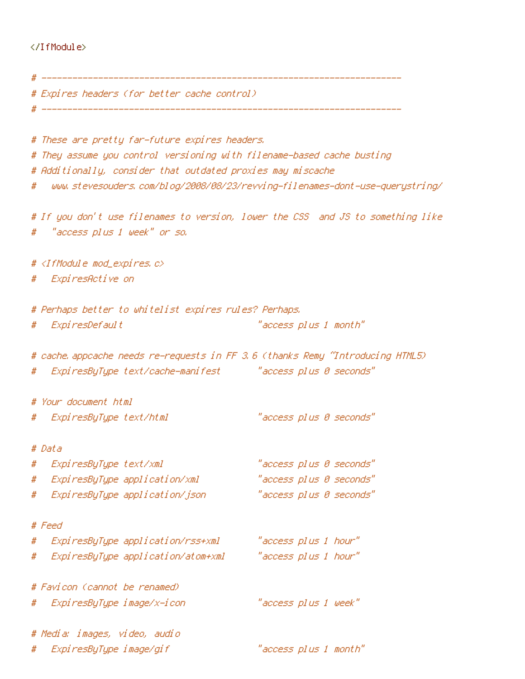## </IfModule>

|        | # Expires headers (for better cache control).                                                                                         |                                                                                 |
|--------|---------------------------------------------------------------------------------------------------------------------------------------|---------------------------------------------------------------------------------|
|        |                                                                                                                                       |                                                                                 |
|        | # These are pretty far-future expires headers.                                                                                        |                                                                                 |
|        | # They assume you control versioning with filename-based cache busting<br># Additionally, consider that outdated proxies may miscache |                                                                                 |
|        |                                                                                                                                       | # www.stevesouders.com/blog/2008/08/23/revving-filenames-dont-use-querystring/  |
|        |                                                                                                                                       |                                                                                 |
|        |                                                                                                                                       | # If you don't use filenames to version, lower the CSS and JS to something like |
|        | #   "access plus 1 week" or so.                                                                                                       |                                                                                 |
|        | # <ifmodule mod_expires.c=""></ifmodule>                                                                                              |                                                                                 |
|        | # ExpiresActive on                                                                                                                    |                                                                                 |
|        | # Perhaps better to whitelist expires rules? Perhaps.                                                                                 |                                                                                 |
|        | # ExpiresDefault                                                                                                                      | "access plus 1 month"                                                           |
|        |                                                                                                                                       | # cache appcache needs re-requests in FF 3.6 (thanks Remy "Introducing HTML5)   |
|        | # ExpiresByType text/cache-manifest "access plus 0 seconds"                                                                           |                                                                                 |
|        | # Your document html                                                                                                                  |                                                                                 |
|        | # ExpiresByType text/html                                                                                                             | "access plus 0 seconds"                                                         |
| # Data |                                                                                                                                       |                                                                                 |
| #      | ExpiresByType text/xml                                                                                                                | "access plus 0 seconds"                                                         |
|        | # ExpiresByType application/xml                                                                                                       | "access plus 0 seconds"                                                         |
|        | # ExpiresByType application/json                                                                                                      | "access plus 0 seconds"                                                         |
| # Feed |                                                                                                                                       |                                                                                 |
|        | # ExpiresByType application/rss+xml                                                                                                   | "access plus 1 hour"                                                            |
|        |                                                                                                                                       |                                                                                 |
|        | # Favicon (cannot be renamed)                                                                                                         |                                                                                 |
|        | # ExpiresByType image/x-icon                                                                                                          | "access plus 1 week"                                                            |
|        | # Media: images, video, audio                                                                                                         |                                                                                 |
|        | # ExpiresByType image/gif                                                                                                             | "access plus 1 month"                                                           |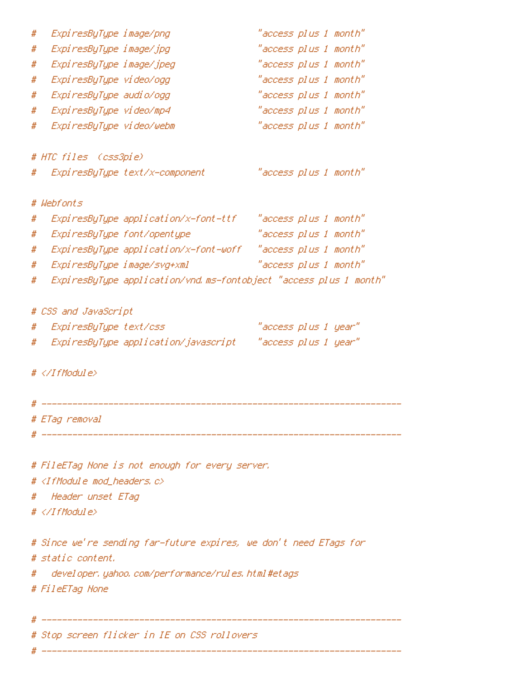| # | ExpiresByType image/png                                           | "access plus 1 month" |
|---|-------------------------------------------------------------------|-----------------------|
| # | ExpiresByType image/jpg                                           | "access plus 1 month" |
| # | ExpiresByType image/jpeg                                          | "access plus 1 month" |
| # | ExpiresByType video/ogg                                           | "access plus 1 month" |
| # | ExpiresByType audio/ogg                                           | "access plus 1 month" |
| # | ExpiresByType video/mp4                                           | "access plus 1 month" |
| # | ExpiresByType video/webm                                          | "access plus 1 month" |
|   |                                                                   |                       |
|   | # HTC files (css3pie)                                             |                       |
|   | # ExpiresByType text/x-component                                  | "access plus 1 month" |
|   |                                                                   |                       |
|   | # Webfonts                                                        |                       |
| # | ExpiresByType application/x-font-ttf                              | "access plus 1 month" |
| # | ExpiresByType font/opentype                                       | "access plus 1 month" |
| # | ExpiresByType application/x-font-woff "access plus 1 month"       |                       |
| # | ExpiresByType image/svg+xml                                       | "access plus 1 month" |
| # | ExpiresByType application/vnd.ms-fontobject "access plus 1 month" |                       |
|   | # CSS and JavaScript                                              |                       |
|   | ExpiresByType text/css<br>#                                       | "access plus 1 year"  |
|   | #                                                                 |                       |
|   |                                                                   |                       |
|   | # $\langle$ /IfModule>                                            |                       |
|   |                                                                   |                       |
|   |                                                                   |                       |
|   | # ETag removal                                                    |                       |
|   |                                                                   |                       |
|   |                                                                   |                       |
|   | # FileETag None is not enough for every server.                   |                       |
|   | # <ifmodule c="" mod_headers,=""></ifmodule>                      |                       |
|   | # Header unset ETag                                               |                       |
|   | $# \triangle$ /IfModule>                                          |                       |
|   |                                                                   |                       |
|   | # Since we're sending far-future expires, we don't need ETags for |                       |
|   | # static content.                                                 |                       |
|   | # developer.yahoo.com/performance/rules.html#etags                |                       |
|   | # FileETag None                                                   |                       |
|   |                                                                   |                       |
|   |                                                                   |                       |
|   | # Stop screen flicker in IE on CSS rollovers                      |                       |

# ----------------------------------------------------------------------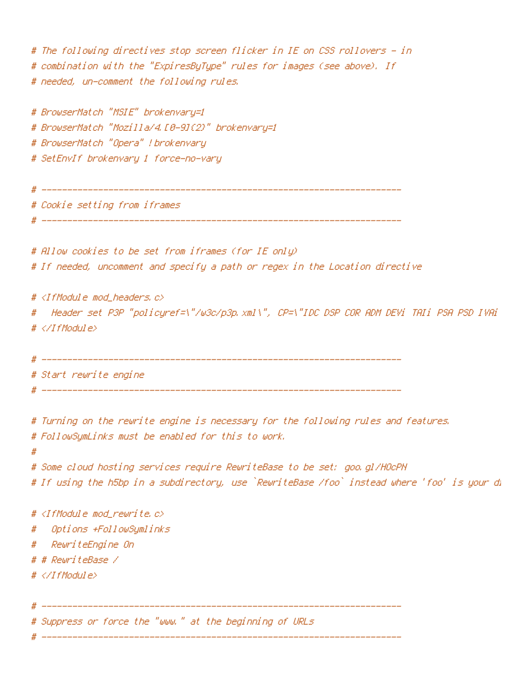# The following directives stop screen flicker in IE on CSS rollovers - in # combination with the "ExpiresByType" rules for images (see above). If # needed, un-comment the following rules.

# BrowserMatch "MSIE" brokenvary=1 # BrowserMatch "Mozilla/4.[0-9]{2}" brokenvary=1 # BrowserMatch "Opera" !brokenvary # SetEnvIf brokenvary 1 force-no-vary

# ----------------------------------------------------------------------

# Cookie setting from iframes

# ----------------------------------------------------------------------

# Allow cookies to be set from iframes (for IE only) # If needed, uncomment and specify <sup>a</sup> path or regex in the Location directive

# <IfModule mod\_headers.c> # Header set P3P "policyref=\"/w3c/p3p.xml\", CP=\"IDC DSP COR ADM DEVi TAIi PSA PSD IVAi # </IfModule>

```
# ----------------------------------------------------------------------
# Start rewrite engine
                                               # ----------------------------------------------------------------------
```
# Turning on the rewrite engine is necessary for the following rules and features. # FollowSymLinks must be enabled for this to work.

#

# Some cloud hosting services require RewriteBase to be set: goo.gl/HOcPN # If using the h5bp in a subdirectory, use `RewriteBase /foo` instead where 'foo' is your di

# <IfModule mod\_rewrite.c>

# Options +FollowSymlinks

# RewriteEngine On

# # RewriteBase /

# </IfModule>

# Suppress or force the "www." at the beginning of URLs

# ----------------------------------------------------------------------

# ----------------------------------------------------------------------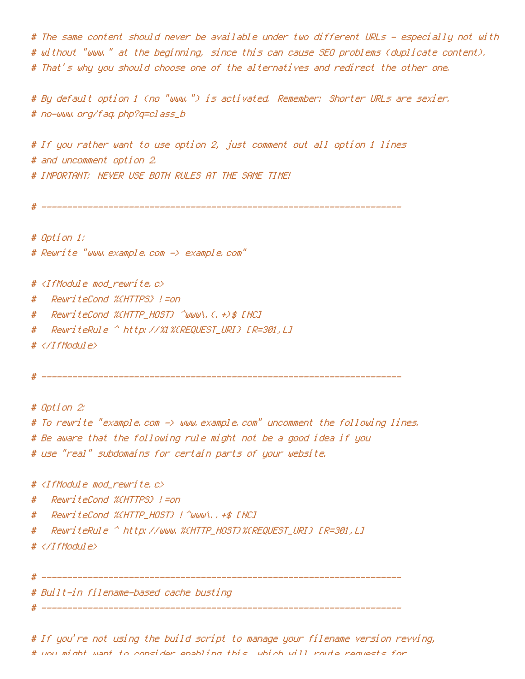# The same content should never be available under two different URLs - especially not with and # without "www." at the beginning, since this can cause SEO problems (duplicate content). # That's why you should choose one of the alternatives and redirect the other one.

# By default option 1 (no "www.") is activated. Remember: Shorter URLs are sexier. # no-www.org/faq.php?q=class\_b

# If you rather want to use option 2, just comment out all option 1 lines # and uncomment option 2. # IMPORTANT: NEVER USE BOTH RULES AT THE SAME TIME!

# ----------------------------------------------------------------------

# Option 1: # Rewrite "www.example.com -> example.com"

# <IfModule mod\_rewrite.c>

# RewriteCond %{HTTPS} !=on

# RewriteCond %{HTTP\_HOST} ^www\.(.+)\$ [NC]

# RewriteRule ^ http://%1%{REQUEST\_URI} [R=301,L]

# </IfModule>

# ----------------------------------------------------------------------

# Option 2: # To rewrite "example.com -> www.example.com" uncomment the following lines. # Be aware that the following rule might not be <sup>a</sup> good idea if you # use "real" subdomains for certain parts of your website.

# <IfModule mod\_rewrite.c>

# RewriteCond %{HTTPS} !=on

# RewriteCond %{HTTP\_HOST} !^www\..+\$ [NC]

# RewriteRule ^ http://www.%{HTTP\_HOST}%{REQUEST\_URI} [R=301,L]

# </IfModule>

# ----------------------------------------------------------------------

# Built-in filename-based cache busting

# -------------------------

# If you're not using the build script to manage your filename version revving, # you might want to consider enabling this, which will route requests for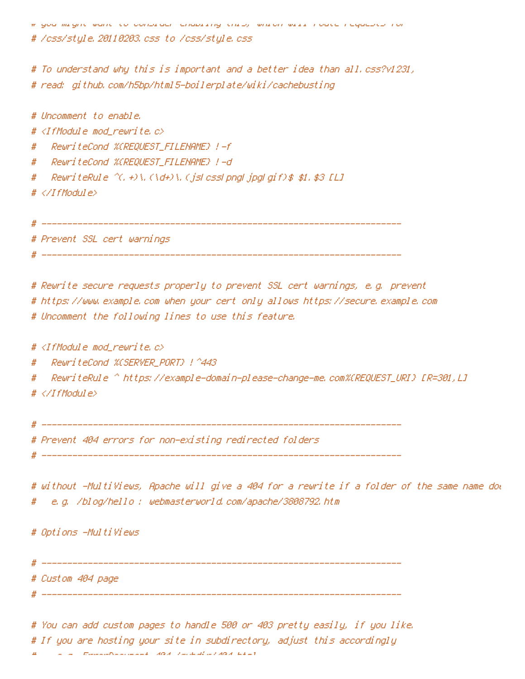# you might want to consider enabling this, which will route requests for

# /css/style.20110203.css to /css/style.css

# To understand why this is important and <sup>a</sup> better idea than all.css?v1231, # read: github.com/h5bp/html5-boilerplate/wiki/cachebusting

# Uncomment to enable. # <IfModule mod\_rewrite.c> # RewriteCond %{REQUEST\_FILENAME} !-f # RewriteCond %{REQUEST\_FILENAME} !-d # RewriteRule ^(.+)\.(\d+)\.(js|css|png|jpg|gif)\$ \$1.\$3 [L] # </IfModule> # ----------------------------------------------------------------------

# Prevent SSL cert warnings

# ----------------------------------------------------------------------

# Rewrite secure requests properly to prevent SSL cert warnings, e.g. prevent # https://www.example.com when your cert only allows https://secure.example.com # Uncomment the following lines to use this feature.

#  $\triangleleft$ IfModule mod rewrite.c $>$ 

# RewriteCond %{SERVER\_PORT} !^443

# RewriteRule ^ https://example-domain-please-change-me.com%{REQUEST\_URI} [R=301,L] # </IfModule>

# ----------------------------------------------------------------------

# Prevent 404 errors for non-existing redirected folders

# ----------------------------------------------------------------------

# without -MultiViews, Apache will give a 404 for a rewrite if a folder of the same name dow # e.g. /blog/hello : webmasterworld.com/apache/3808792.htm

# Options -MultiViews

# ---------------------------------------------------------------------- # Custom 404 page

# ----------------------------------------------------------------------

# You can add custom pages to handle 500 or 403 pretty easily, if you like. # If you are hosting your site in subdirectory, adjust this accordingly  $\mathcal{L} = \mathcal{L} = \mathcal{L}$  Error of Document 404  $\mathcal{A}$  /subdirection  $\mathcal{L}$  and  $\mathcal{L}$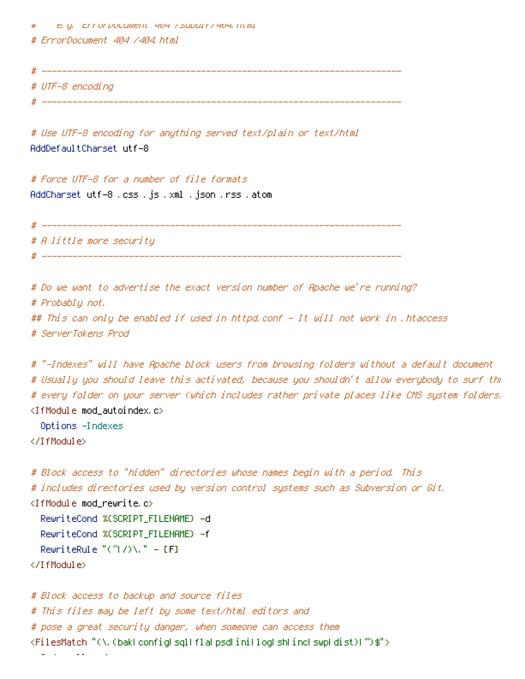# e.g. ErrorDocument 404 /subdir/404.html # ErrorDocument 404 /404.html

# ----------------------------------------------------------------------

# UTF-8 encoding

# -----------------

# Use UTF-8 encoding for anything served text/plain or text/html AddDefaultCharset utf-8

# Force UTF-8 for <sup>a</sup> number of file formats AddCharset utf-8 .css .js .xml .json .rss .atom

# A little more security

# ----------------------------------------------------------------------

# Do we want to advertise the exact version number of Apache we're running? # Probably not. ## This can only be enabled if used in httpd.conf - It will not work in .htaccess # ServerTokens Prod

# ----------------------------------------------------------------------

# "-Indexes" will have Apache block users from browsing folders without <sup>a</sup> default document # Usually you should leave this activated, because you shouldn't allow everybody to surf through # every folder on your server (which includes rather private places like CMS system folders). <IfModule mod\_autoindex.c>

Options -Indexes

</IfModule>

```
# Block access to "hidden" directories whose names begin with a period. This
# includes directories used by version control systems such as Subversion or Git.
\langleIfModule mod rewrite.c\rangleRewriteCond %{SCRIPT_FILENAME} -d
  RewriteCond %{SCRIPT_FILENAME} -f
  RewriteRule "(^{\circ}|/)\." - [F]
</IfModule>
```
# Block access to backup and source files # This files may be left by some text/html editors and # pose <sup>a</sup> great security danger, when someone can access them <FilesMatch "(\.(bak|config|sql|fla|psd|ini|log|sh|inc|swp|dist)|~)\$"> Order allow,deny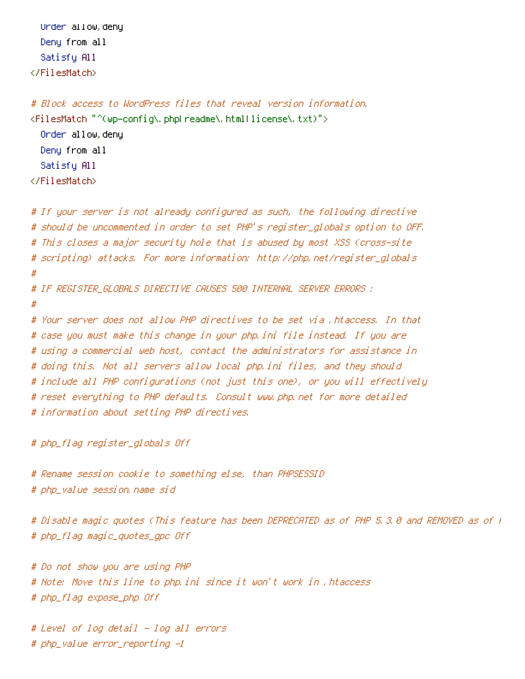Order allow,deny Deny from all Satisfy All </FilesMatch>

# Block access to WordPress files that reveal version information. <FilesMatch "^(wp-config\.php|readme\.html|license\.txt)"> Order allow,deny Deny from all Satisfy All </FilesMatch>

# If your server is not already configured as such, the following directive # should be uncommented in order to set PHP's register\_globals option to OFF. # This closes <sup>a</sup> major security hole that is abused by most XSS (cross-site # scripting) attacks. For more information: http://php.net/register\_globals # # IF REGISTER\_GLOBALS DIRECTIVE CAUSES 500 INTERNAL SERVER ERRORS : # # Your server does not allow PHP directives to be set via .htaccess. In that # case you must make this change in your php.ini file instead. If you are # using <sup>a</sup> commercial web host, contact the administrators for assistance in # doing this. Not all servers allow local php.ini files, and they should # include all PHP configurations (not just this one), or you will effectively # reset everything to PHP defaults. Consult www.php.net for more detailed # information about setting PHP directives.

# php\_flag register\_globals Off

# Rename session cookie to something else, than PHPSESSID # php\_value session.name sid

# Disable magic quotes (This feature has been DEPRECATED as of PHP 5.3.0 and REMOVED as of PHP 5.4.0.) # php\_flag magic\_quotes\_gpc Off

# Do not show you are using PHP # Note: Move this line to php.ini since it won't work in .htaccess # php\_flag expose\_php Off

# Level of log detail - log all errors # php\_value error\_reporting -1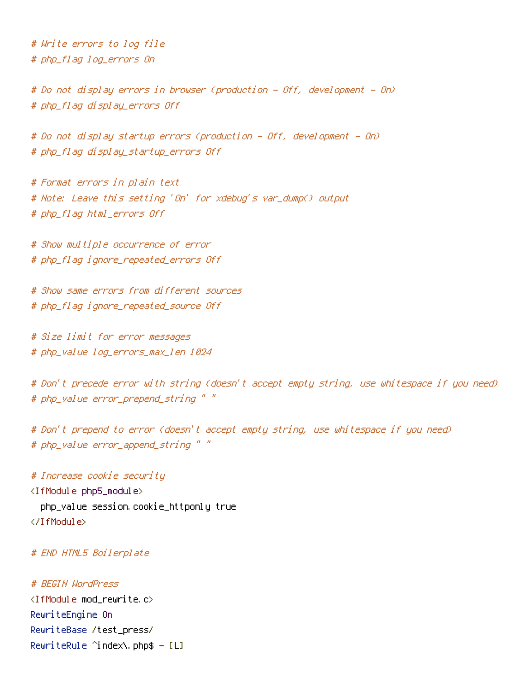# Write errors to log file # php\_flag log\_errors On

# Do not display errors in browser (production - Off, development - On) # php\_flag display\_errors Off

# Do not display startup errors (production - Off, development - On) # php\_flag display\_startup\_errors Off

# Format errors in plain text # Note: Leave this setting 'On' for xdebug's var\_dump() output # php\_flag html\_errors Off

# Show multiple occurrence of error # php\_flag ignore\_repeated\_errors Off

# Show same errors from different sources # php\_flag ignore\_repeated\_source Off

# Size limit for error messages # php\_value log\_errors\_max\_len 1024

# Don't precede error with string (doesn't accept empty string, use whitespace if you need) # php\_value error\_prepend\_string " "

# Don't prepend to error (doesn't accept empty string, use whitespace if you need) # php\_value error\_append\_string " "

# Increase cookie security <IfModule php5\_module> php\_value session.cookie\_httponly true </IfModule>

### # END HTML5 Boilerplate

# BEGIN WordPress <IfModule mod\_rewrite.c> RewriteEngine On RewriteBase /test\_press/ RewriteRule  $\hat{}$  index\.php\$ - [L]